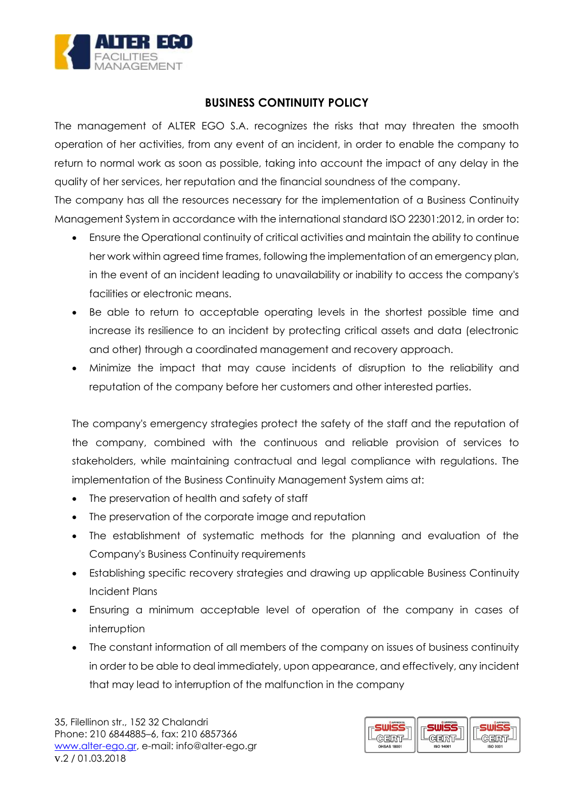

## **BUSINESS CONTINUITY POLICY**

The management of ALTER EGO S.A. recognizes the risks that may threaten the smooth operation of her activities, from any event of an incident, in order to enable the company to return to normal work as soon as possible, taking into account the impact of any delay in the quality of her services, her reputation and the financial soundness of the company.

The company has all the resources necessary for the implementation of a Business Continuity Management System in accordance with the international standard ISO 22301:2012, in order to:

- Ensure the Operational continuity of critical activities and maintain the ability to continue her work within agreed time frames, following the implementation of an emergency plan, in the event of an incident leading to unavailability or inability to access the company's facilities or electronic means.
- Be able to return to acceptable operating levels in the shortest possible time and increase its resilience to an incident by protecting critical assets and data (electronic and other) through a coordinated management and recovery approach.
- Minimize the impact that may cause incidents of disruption to the reliability and reputation of the company before her customers and other interested parties.

The company's emergency strategies protect the safety of the staff and the reputation of the company, combined with the continuous and reliable provision of services to stakeholders, while maintaining contractual and legal compliance with regulations. The implementation of the Business Continuity Management System aims at:

- The preservation of health and safety of staff
- The preservation of the corporate image and reputation
- The establishment of systematic methods for the planning and evaluation of the Company's Business Continuity requirements
- Establishing specific recovery strategies and drawing up applicable Business Continuity Incident Plans
- Ensuring a minimum acceptable level of operation of the company in cases of interruption
- The constant information of all members of the company on issues of business continuity in order to be able to deal immediately, upon appearance, and effectively, any incident that may lead to interruption of the malfunction in the company